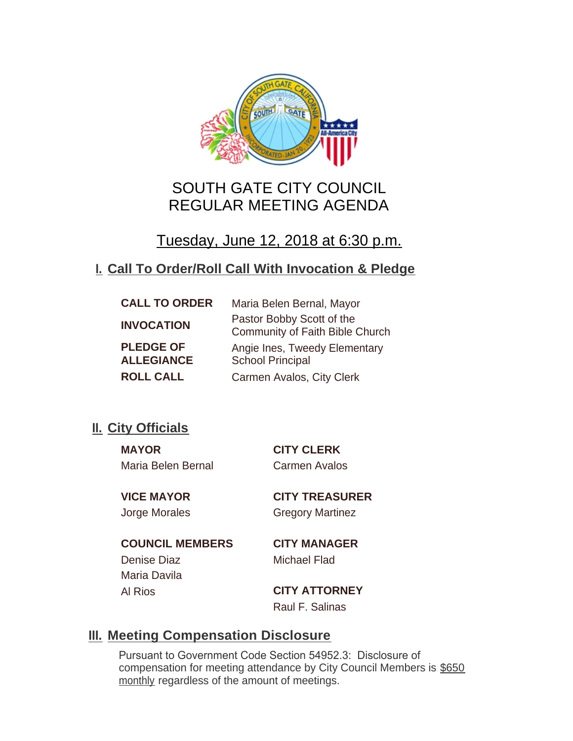

# SOUTH GATE CITY COUNCIL REGULAR MEETING AGENDA

Tuesday, June 12, 2018 at 6:30 p.m.

# **Call To Order/Roll Call With Invocation & Pledge I.**

| <b>CALL TO ORDER</b>                  | Maria Belen Bernal, Mayor                                    |
|---------------------------------------|--------------------------------------------------------------|
| <b>INVOCATION</b>                     | Pastor Bobby Scott of the<br>Community of Faith Bible Church |
| <b>PLEDGE OF</b><br><b>ALLEGIANCE</b> | Angie Ines, Tweedy Elementary<br><b>School Principal</b>     |
| <b>ROLL CALL</b>                      | Carmen Avalos, City Clerk                                    |

# **II.** City Officials

**MAYOR CITY CLERK** Maria Belen Bernal Carmen Avalos

**VICE MAYOR CITY TREASURER** Jorge Morales Gregory Martinez

**COUNCIL MEMBERS CITY MANAGER** Denise Diaz Michael Flad Maria Davila

Al Rios **CITY ATTORNEY** Raul F. Salinas

# **Meeting Compensation Disclosure III.**

Pursuant to Government Code Section 54952.3: Disclosure of compensation for meeting attendance by City Council Members is \$650 monthly regardless of the amount of meetings.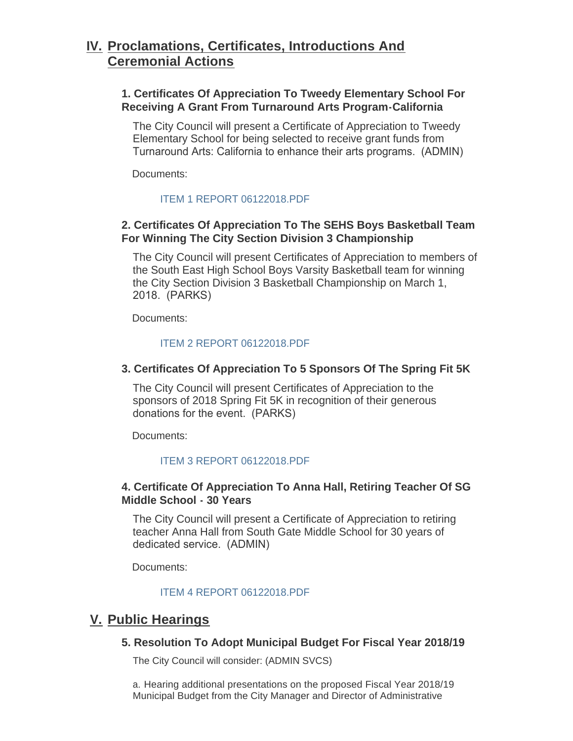# **Proclamations, Certificates, Introductions And IV. Ceremonial Actions**

# **1. Certificates Of Appreciation To Tweedy Elementary School For Receiving A Grant From Turnaround Arts Program-California**

The City Council will present a Certificate of Appreciation to Tweedy Elementary School for being selected to receive grant funds from Turnaround Arts: California to enhance their arts programs. (ADMIN)

Documents:

### [ITEM 1 REPORT 06122018.PDF](http://cityofsouthgate.org/AgendaCenter/ViewFile/Item/6060?fileID=12517)

# **2. Certificates Of Appreciation To The SEHS Boys Basketball Team For Winning The City Section Division 3 Championship**

The City Council will present Certificates of Appreciation to members of the South East High School Boys Varsity Basketball team for winning the City Section Division 3 Basketball Championship on March 1, 2018. (PARKS)

Documents:

### [ITEM 2 REPORT 06122018.PDF](http://cityofsouthgate.org/AgendaCenter/ViewFile/Item/6061?fileID=12535)

## **3. Certificates Of Appreciation To 5 Sponsors Of The Spring Fit 5K**

The City Council will present Certificates of Appreciation to the sponsors of 2018 Spring Fit 5K in recognition of their generous donations for the event. (PARKS)

Documents:

### [ITEM 3 REPORT 06122018.PDF](http://cityofsouthgate.org/AgendaCenter/ViewFile/Item/6062?fileID=12519)

### **4. Certificate Of Appreciation To Anna Hall, Retiring Teacher Of SG Middle School - 30 Years**

The City Council will present a Certificate of Appreciation to retiring teacher Anna Hall from South Gate Middle School for 30 years of dedicated service. (ADMIN)

Documents:

### [ITEM 4 REPORT 06122018.PDF](http://cityofsouthgate.org/AgendaCenter/ViewFile/Item/6063?fileID=12520)

# **Public Hearings V.**

# **5. Resolution To Adopt Municipal Budget For Fiscal Year 2018/19**

The City Council will consider: (ADMIN SVCS)

a. Hearing additional presentations on the proposed Fiscal Year 2018/19 Municipal Budget from the City Manager and Director of Administrative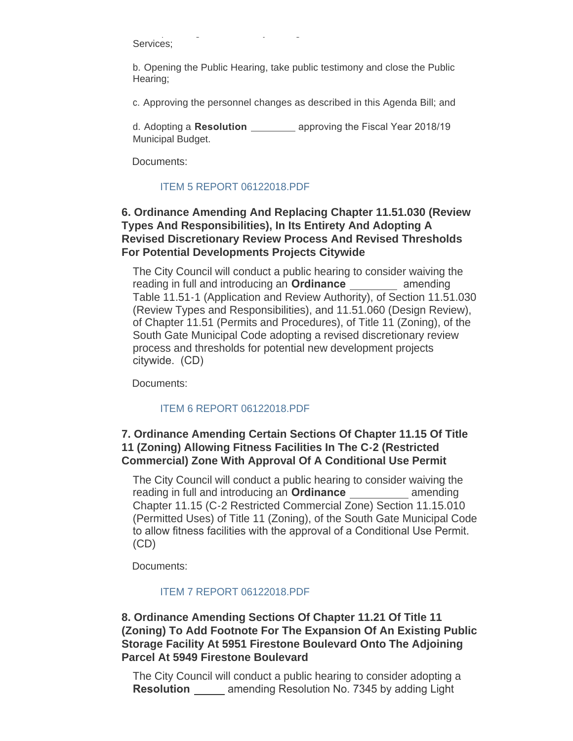Municipal Budget from the City Manager and Director of Administrative Services;

b. Opening the Public Hearing, take public testimony and close the Public Hearing;

c. Approving the personnel changes as described in this Agenda Bill; and

d. Adopting a **Resolution** *CONDER 2018/19 approving the Fiscal Year 2018/19* Municipal Budget.

Documents:

### [ITEM 5 REPORT 06122018.PDF](http://cityofsouthgate.org/AgendaCenter/ViewFile/Item/6078?fileID=12536)

# **6. Ordinance Amending And Replacing Chapter 11.51.030 (Review Types And Responsibilities), In Its Entirety And Adopting A Revised Discretionary Review Process And Revised Thresholds For Potential Developments Projects Citywide**

The City Council will conduct a public hearing to consider waiving the reading in full and introducing an **Ordinance amending** Table 11.51-1 (Application and Review Authority), of Section 11.51.030 (Review Types and Responsibilities), and 11.51.060 (Design Review), of Chapter 11.51 (Permits and Procedures), of Title 11 (Zoning), of the South Gate Municipal Code adopting a revised discretionary review process and thresholds for potential new development projects citywide. (CD)

Documents:

# [ITEM 6 REPORT 06122018.PDF](http://cityofsouthgate.org/AgendaCenter/ViewFile/Item/6064?fileID=12521)

# **7. Ordinance Amending Certain Sections Of Chapter 11.15 Of Title 11 (Zoning) Allowing Fitness Facilities In The C-2 (Restricted Commercial) Zone With Approval Of A Conditional Use Permit**

The City Council will conduct a public hearing to consider waiving the reading in full and introducing an **Ordinance** amending Chapter 11.15 (C-2 Restricted Commercial Zone) Section 11.15.010 (Permitted Uses) of Title 11 (Zoning), of the South Gate Municipal Code to allow fitness facilities with the approval of a Conditional Use Permit. (CD)

Documents:

# [ITEM 7 REPORT 06122018.PDF](http://cityofsouthgate.org/AgendaCenter/ViewFile/Item/6065?fileID=12522)

# **8. Ordinance Amending Sections Of Chapter 11.21 Of Title 11 (Zoning) To Add Footnote For The Expansion Of An Existing Public Storage Facility At 5951 Firestone Boulevard Onto The Adjoining Parcel At 5949 Firestone Boulevard**

The City Council will conduct a public hearing to consider adopting a **Resolution amending Resolution No. 7345 by adding Light**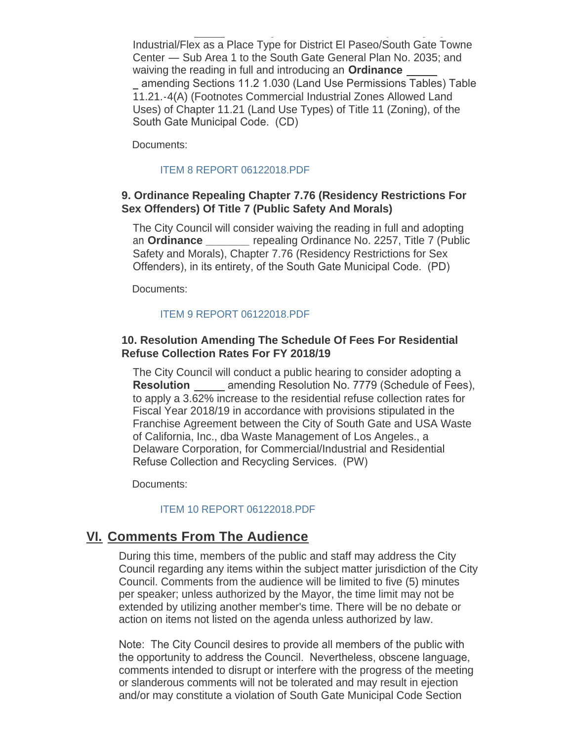Industrial/Flex as a Place Type for District El Paseo/South Gate Towne Center — Sub Area 1 to the South Gate General Plan No. 2035; and waiving the reading in full and introducing an **Ordinance**  amending Sections 11.2 1.030 (Land Use Permissions Tables) Table 11.21.-4(A) (Footnotes Commercial Industrial Zones Allowed Land Uses) of Chapter 11.21 (Land Use Types) of Title 11 (Zoning), of the South Gate Municipal Code. (CD)

**Resolution**  amending Resolution No. 7345 by adding Light

Documents:

### [ITEM 8 REPORT 06122018.PDF](http://cityofsouthgate.org/AgendaCenter/ViewFile/Item/6066?fileID=12523)

### **9. Ordinance Repealing Chapter 7.76 (Residency Restrictions For Sex Offenders) Of Title 7 (Public Safety And Morals)**

The City Council will consider waiving the reading in full and adopting an **Ordinance \_\_\_\_\_\_\_** repealing Ordinance No. 2257, Title 7 (Public Safety and Morals), Chapter 7.76 (Residency Restrictions for Sex Offenders), in its entirety, of the South Gate Municipal Code. (PD)

Documents:

### [ITEM 9 REPORT 06122018.PDF](http://cityofsouthgate.org/AgendaCenter/ViewFile/Item/6067?fileID=12524)

## **10. Resolution Amending The Schedule Of Fees For Residential Refuse Collection Rates For FY 2018/19**

The City Council will conduct a public hearing to consider adopting a **Resolution** amending Resolution No. 7779 (Schedule of Fees), to apply a 3.62% increase to the residential refuse collection rates for Fiscal Year 2018/19 in accordance with provisions stipulated in the Franchise Agreement between the City of South Gate and USA Waste of California, Inc., dba Waste Management of Los Angeles., a Delaware Corporation, for Commercial/Industrial and Residential Refuse Collection and Recycling Services. (PW)

Documents:

### [ITEM 10 REPORT 06122018.PDF](http://cityofsouthgate.org/AgendaCenter/ViewFile/Item/6068?fileID=12525)

# **<u>VI. Comments From The Audience</u>**

During this time, members of the public and staff may address the City Council regarding any items within the subject matter jurisdiction of the City Council. Comments from the audience will be limited to five (5) minutes per speaker; unless authorized by the Mayor, the time limit may not be extended by utilizing another member's time. There will be no debate or action on items not listed on the agenda unless authorized by law.

Note: The City Council desires to provide all members of the public with the opportunity to address the Council. Nevertheless, obscene language, comments intended to disrupt or interfere with the progress of the meeting or slanderous comments will not be tolerated and may result in ejection and/or may constitute a violation of South Gate Municipal Code Section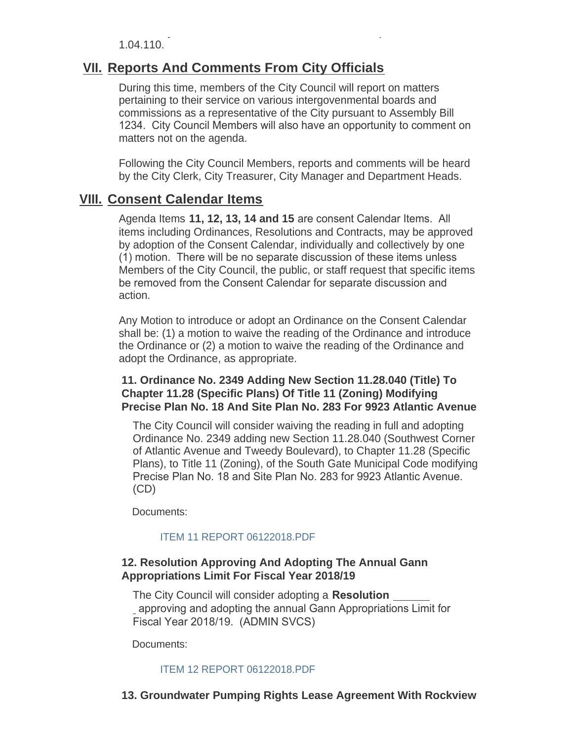and/or may constitute a violation of South Gate Municipal Code Section 1.04.110.

# **<u>VII. Reports And Comments From City Officials</u>**

During this time, members of the City Council will report on matters pertaining to their service on various intergovenmental boards and commissions as a representative of the City pursuant to Assembly Bill 1234. City Council Members will also have an opportunity to comment on matters not on the agenda.

Following the City Council Members, reports and comments will be heard by the City Clerk, City Treasurer, City Manager and Department Heads.

# **Consent Calendar Items VIII.**

Agenda Items **11, 12, 13, 14 and 15** are consent Calendar Items. All items including Ordinances, Resolutions and Contracts, may be approved by adoption of the Consent Calendar, individually and collectively by one (1) motion. There will be no separate discussion of these items unless Members of the City Council, the public, or staff request that specific items be removed from the Consent Calendar for separate discussion and action.

Any Motion to introduce or adopt an Ordinance on the Consent Calendar shall be: (1) a motion to waive the reading of the Ordinance and introduce the Ordinance or (2) a motion to waive the reading of the Ordinance and adopt the Ordinance, as appropriate.

# **11. Ordinance No. 2349 Adding New Section 11.28.040 (Title) To Chapter 11.28 (Specific Plans) Of Title 11 (Zoning) Modifying Precise Plan No. 18 And Site Plan No. 283 For 9923 Atlantic Avenue**

The City Council will consider waiving the reading in full and adopting Ordinance No. 2349 adding new Section 11.28.040 (Southwest Corner of Atlantic Avenue and Tweedy Boulevard), to Chapter 11.28 (Specific Plans), to Title 11 (Zoning), of the South Gate Municipal Code modifying Precise Plan No. 18 and Site Plan No. 283 for 9923 Atlantic Avenue. (CD)

Documents:

### [ITEM 11 REPORT 06122018.PDF](http://cityofsouthgate.org/AgendaCenter/ViewFile/Item/6075?fileID=12532)

# **12. Resolution Approving And Adopting The Annual Gann Appropriations Limit For Fiscal Year 2018/19**

The City Council will consider adopting a **Resolution**  approving and adopting the annual Gann Appropriations Limit for Fiscal Year 2018/19. (ADMIN SVCS)

Documents:

### [ITEM 12 REPORT 06122018.PDF](http://cityofsouthgate.org/AgendaCenter/ViewFile/Item/6076?fileID=12533)

# **13. Groundwater Pumping Rights Lease Agreement With Rockview**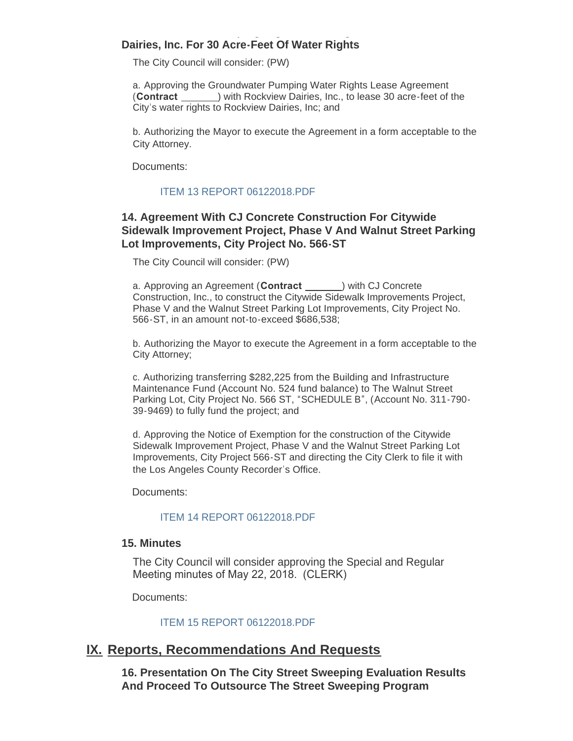### **13. Groundwater Pumping Rights Lease Agreement With Rockview Dairies, Inc. For 30 Acre-Feet Of Water Rights**

The City Council will consider: (PW)

a. Approving the Groundwater Pumping Water Rights Lease Agreement (**Contract**  ) with Rockview Dairies, Inc., to lease 30 acre-feet of the City's water rights to Rockview Dairies, Inc; and

b. Authorizing the Mayor to execute the Agreement in a form acceptable to the City Attorney.

Documents:

# [ITEM 13 REPORT 06122018.PDF](http://cityofsouthgate.org/AgendaCenter/ViewFile/Item/6069?fileID=12526)

# **14. Agreement With CJ Concrete Construction For Citywide Sidewalk Improvement Project, Phase V And Walnut Street Parking Lot Improvements, City Project No. 566-ST**

The City Council will consider: (PW)

a. Approving an Agreement (**Contract**  ) with CJ Concrete Construction, Inc., to construct the Citywide Sidewalk Improvements Project, Phase V and the Walnut Street Parking Lot Improvements, City Project No. 566-ST, in an amount not-to-exceed \$686,538;

b. Authorizing the Mayor to execute the Agreement in a form acceptable to the City Attorney;

c. Authorizing transferring \$282,225 from the Building and Infrastructure Maintenance Fund (Account No. 524 fund balance) to The Walnut Street Parking Lot, City Project No. 566 ST, "SCHEDULE B", (Account No. 311-790- 39-9469) to fully fund the project; and

d. Approving the Notice of Exemption for the construction of the Citywide Sidewalk Improvement Project, Phase V and the Walnut Street Parking Lot Improvements, City Project 566-ST and directing the City Clerk to file it with the Los Angeles County Recorder's Office.

Documents:

### [ITEM 14 REPORT 06122018.PDF](http://cityofsouthgate.org/AgendaCenter/ViewFile/Item/6070?fileID=12527)

### **15. Minutes**

The City Council will consider approving the Special and Regular Meeting minutes of May 22, 2018. (CLERK)

Documents:

### [ITEM 15 REPORT 06122018.PDF](http://cityofsouthgate.org/AgendaCenter/ViewFile/Item/6074?fileID=12531)

# **IX. Reports, Recommendations And Requests**

**16. Presentation On The City Street Sweeping Evaluation Results And Proceed To Outsource The Street Sweeping Program**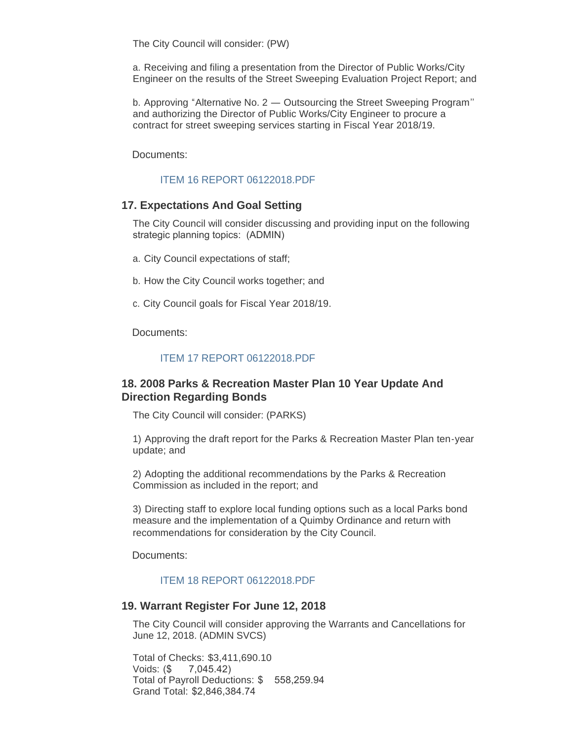The City Council will consider: (PW)

a. Receiving and filing a presentation from the Director of Public Works/City Engineer on the results of the Street Sweeping Evaluation Project Report; and

b. Approving "Alternative No. 2 — Outsourcing the Street Sweeping Program'' and authorizing the Director of Public Works/City Engineer to procure a contract for street sweeping services starting in Fiscal Year 2018/19.

Documents:

### [ITEM 16 REPORT 06122018.PDF](http://cityofsouthgate.org/AgendaCenter/ViewFile/Item/6071?fileID=12528)

#### **17. Expectations And Goal Setting**

The City Council will consider discussing and providing input on the following strategic planning topics: (ADMIN)

- a. City Council expectations of staff;
- b. How the City Council works together; and
- c. City Council goals for Fiscal Year 2018/19.

Documents:

#### [ITEM 17 REPORT 06122018.PDF](http://cityofsouthgate.org/AgendaCenter/ViewFile/Item/6072?fileID=12529)

### **18. 2008 Parks & Recreation Master Plan 10 Year Update And Direction Regarding Bonds**

The City Council will consider: (PARKS)

1) Approving the draft report for the Parks & Recreation Master Plan ten-year update; and

2) Adopting the additional recommendations by the Parks & Recreation Commission as included in the report; and

3) Directing staff to explore local funding options such as a local Parks bond measure and the implementation of a Quimby Ordinance and return with recommendations for consideration by the City Council.

Documents:

#### [ITEM 18 REPORT 06122018.PDF](http://cityofsouthgate.org/AgendaCenter/ViewFile/Item/6077?fileID=12534)

#### **19. Warrant Register For June 12, 2018**

The City Council will consider approving the Warrants and Cancellations for June 12, 2018. (ADMIN SVCS)

Total of Checks: \$3,411,690.10 Voids: (\$ 7,045.42) Total of Payroll Deductions: \$ 558,259.94 Grand Total: \$2,846,384.74